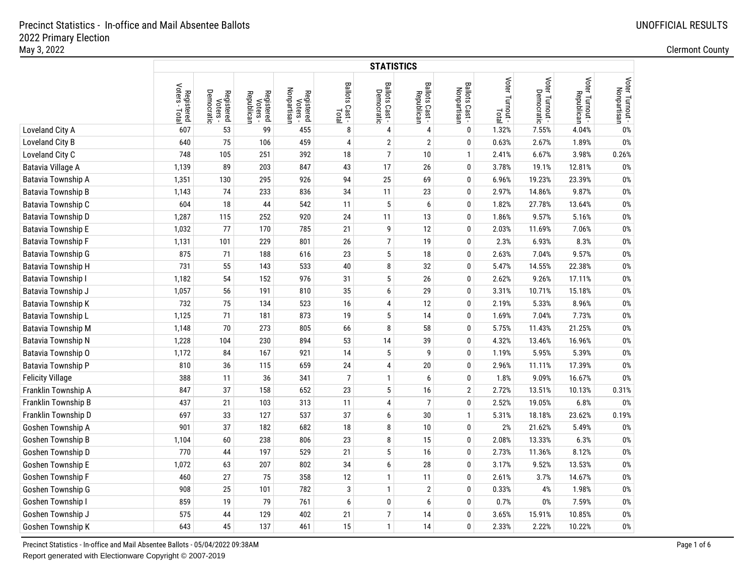|                           |                                       | <b>STATISTICS</b>                    |                                      |                                       |                         |                              |                             |                               |                          |                               |                               |                                |  |  |
|---------------------------|---------------------------------------|--------------------------------------|--------------------------------------|---------------------------------------|-------------------------|------------------------------|-----------------------------|-------------------------------|--------------------------|-------------------------------|-------------------------------|--------------------------------|--|--|
|                           | Voters<br>Registered<br>oters - Total | Democratic<br>Registered<br>Voters - | Registered<br>Voters -<br>Republican | Nonpartisan<br>Registered<br>Voters - | Ballots Cast -<br>Total | Ballots Cast -<br>Democratic | Ballots Cast-<br>Republican | Ballots Cast -<br>Nonpartisan | Voter Turnout -<br>Total | Voter Turnout -<br>Democratic | Voter Turnout -<br>Republican | Voter Turnout -<br>Nonpartisan |  |  |
| Loveland City A           | 607                                   | 53                                   | 99                                   | 455                                   | 8                       | $\overline{4}$               | $\overline{4}$              | $\mathbf{0}$                  | 1.32%                    | 7.55%                         | 4.04%                         | 0%                             |  |  |
| Loveland City B           | 640                                   | 75                                   | 106                                  | 459                                   | 4                       | $\overline{2}$               | $\overline{2}$              | 0                             | 0.63%                    | 2.67%                         | 1.89%                         | 0%                             |  |  |
| Loveland City C           | 748                                   | 105                                  | 251                                  | 392                                   | 18                      | $\overline{7}$               | 10                          | 1                             | 2.41%                    | 6.67%                         | 3.98%                         | 0.26%                          |  |  |
| Batavia Village A         | 1,139                                 | 89                                   | 203                                  | 847                                   | 43                      | 17                           | 26                          | $\mathbf{0}$                  | 3.78%                    | 19.1%                         | 12.81%                        | 0%                             |  |  |
| Batavia Township A        | 1,351                                 | 130                                  | 295                                  | 926                                   | 94                      | 25                           | 69                          | $\mathbf{0}$                  | 6.96%                    | 19.23%                        | 23.39%                        | 0%                             |  |  |
| Batavia Township B        | 1,143                                 | 74                                   | 233                                  | 836                                   | 34                      | 11                           | 23                          | $\mathbf{0}$                  | 2.97%                    | 14.86%                        | 9.87%                         | $0\%$                          |  |  |
| Batavia Township C        | 604                                   | 18                                   | 44                                   | 542                                   | 11                      | 5                            | 6                           | $\mathbf{0}$                  | 1.82%                    | 27.78%                        | 13.64%                        | 0%                             |  |  |
| Batavia Township D        | 1,287                                 | 115                                  | 252                                  | 920                                   | 24                      | 11                           | 13                          | 0                             | 1.86%                    | 9.57%                         | 5.16%                         | 0%                             |  |  |
| Batavia Township E        | 1,032                                 | 77                                   | 170                                  | 785                                   | 21                      | 9                            | 12                          | $\mathbf{0}$                  | 2.03%                    | 11.69%                        | 7.06%                         | 0%                             |  |  |
| Batavia Township F        | 1,131                                 | 101                                  | 229                                  | 801                                   | $26\,$                  | $\overline{7}$               | 19                          | 0                             | 2.3%                     | 6.93%                         | 8.3%                          | 0%                             |  |  |
| Batavia Township G        | 875                                   | 71                                   | 188                                  | 616                                   | 23                      | 5                            | 18                          | $\pmb{0}$                     | 2.63%                    | 7.04%                         | 9.57%                         | 0%                             |  |  |
| Batavia Township H        | 731                                   | 55                                   | 143                                  | 533                                   | 40                      | 8                            | 32                          | $\mathbf{0}$                  | 5.47%                    | 14.55%                        | 22.38%                        | 0%                             |  |  |
| Batavia Township I        | 1,182                                 | 54                                   | 152                                  | 976                                   | 31                      | 5                            | 26                          | $\mathbf{0}$                  | 2.62%                    | 9.26%                         | 17.11%                        | $0\%$                          |  |  |
| Batavia Township J        | 1,057                                 | 56                                   | 191                                  | 810                                   | 35                      | 6                            | 29                          | $\mathbf{0}$                  | 3.31%                    | 10.71%                        | 15.18%                        | 0%                             |  |  |
| Batavia Township K        | 732                                   | 75                                   | 134                                  | 523                                   | 16                      | 4                            | 12                          | 0                             | 2.19%                    | 5.33%                         | 8.96%                         | 0%                             |  |  |
| Batavia Township L        | 1,125                                 | 71                                   | 181                                  | 873                                   | 19                      | 5                            | 14                          | $\mathbf{0}$                  | 1.69%                    | 7.04%                         | 7.73%                         | 0%                             |  |  |
| <b>Batavia Township M</b> | 1,148                                 | 70                                   | 273                                  | 805                                   | 66                      | 8                            | 58                          | $\mathbf{0}$                  | 5.75%                    | 11.43%                        | 21.25%                        | 0%                             |  |  |
| Batavia Township N        | 1,228                                 | 104                                  | 230                                  | 894                                   | 53                      | 14                           | 39                          | 0                             | 4.32%                    | 13.46%                        | 16.96%                        | 0%                             |  |  |
| Batavia Township O        | 1,172                                 | 84                                   | 167                                  | 921                                   | 14                      | 5                            | 9                           | 0                             | 1.19%                    | 5.95%                         | 5.39%                         | 0%                             |  |  |
| Batavia Township P        | 810                                   | 36                                   | 115                                  | 659                                   | 24                      | 4                            | 20                          | $\mathbf{0}$                  | 2.96%                    | 11.11%                        | 17.39%                        | 0%                             |  |  |
| <b>Felicity Village</b>   | 388                                   | 11                                   | 36                                   | 341                                   | $\overline{7}$          | $\mathbf{1}$                 | 6                           | 0                             | 1.8%                     | 9.09%                         | 16.67%                        | 0%                             |  |  |
| Franklin Township A       | 847                                   | 37                                   | 158                                  | 652                                   | 23                      | 5                            | 16                          | $\overline{2}$                | 2.72%                    | 13.51%                        | 10.13%                        | 0.31%                          |  |  |
| Franklin Township B       | 437                                   | 21                                   | 103                                  | 313                                   | 11                      | 4                            | 7                           | $\mathbf{0}$                  | 2.52%                    | 19.05%                        | 6.8%                          | 0%                             |  |  |
| Franklin Township D       | 697                                   | 33                                   | 127                                  | 537                                   | 37                      | 6                            | $30\,$                      | $\mathbf{1}$                  | 5.31%                    | 18.18%                        | 23.62%                        | 0.19%                          |  |  |
| Goshen Township A         | 901                                   | 37                                   | 182                                  | 682                                   | 18                      | 8                            | 10                          | $\mathbf{0}$                  | 2%                       | 21.62%                        | 5.49%                         | 0%                             |  |  |
| Goshen Township B         | 1,104                                 | 60                                   | 238                                  | 806                                   | 23                      | 8                            | 15                          | $\mathbf{0}$                  | 2.08%                    | 13.33%                        | 6.3%                          | 0%                             |  |  |
| Goshen Township D         | 770                                   | 44                                   | 197                                  | 529                                   | 21                      | 5                            | 16                          | $\mathbf{0}$                  | 2.73%                    | 11.36%                        | 8.12%                         | 0%                             |  |  |
| Goshen Township E         | 1,072                                 | 63                                   | 207                                  | 802                                   | 34                      | 6                            | 28                          | 0                             | 3.17%                    | 9.52%                         | 13.53%                        | 0%                             |  |  |
| Goshen Township F         | 460                                   | 27                                   | 75                                   | 358                                   | 12                      | $\mathbf{1}$                 | 11                          | $\mathbf{0}$                  | 2.61%                    | 3.7%                          | 14.67%                        | 0%                             |  |  |
| Goshen Township G         | 908                                   | 25                                   | 101                                  | 782                                   | 3                       | $\mathbf{1}$                 | $\overline{2}$              | $\pmb{0}$                     | 0.33%                    | 4%                            | 1.98%                         | 0%                             |  |  |
| Goshen Township I         | 859                                   | 19                                   | 79                                   | 761                                   | 6                       | 0                            | 6                           | 0                             | 0.7%                     | 0%                            | 7.59%                         | 0%                             |  |  |
| Goshen Township J         | 575                                   | 44                                   | 129                                  | 402                                   | 21                      | $\overline{7}$               | 14                          | 0                             | 3.65%                    | 15.91%                        | 10.85%                        | 0%                             |  |  |
| Goshen Township K         | 643                                   | 45                                   | 137                                  | 461                                   | 15                      | $\mathbf{1}$                 | 14                          | $\mathbf{0}$                  | 2.33%                    | 2.22%                         | 10.22%                        | 0%                             |  |  |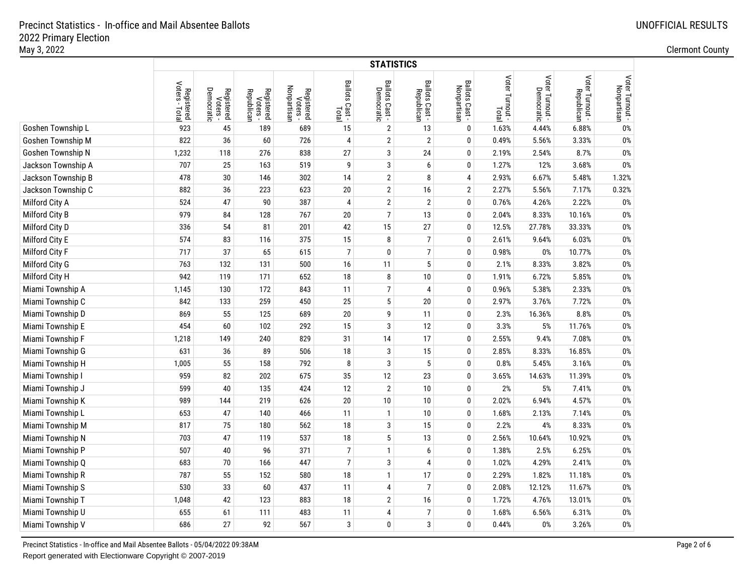|                    |                                         | <b>STATISTICS</b>                    |                                      |                                       |                                |                              |                              |                               |                          |                               |                               |                                |  |  |
|--------------------|-----------------------------------------|--------------------------------------|--------------------------------------|---------------------------------------|--------------------------------|------------------------------|------------------------------|-------------------------------|--------------------------|-------------------------------|-------------------------------|--------------------------------|--|--|
|                    | Voters -<br>Registered<br>oters - Total | Democratic<br>Registered<br>Voters - | Registered<br>Voters -<br>Republican | Nonpartisan<br>Registered<br>Voters - | Ballots Cast -<br><b>Total</b> | Ballots Cast -<br>Democratic | Ballots Cast -<br>Republican | Ballots Cast -<br>Nonpartisan | Voter Turnout -<br>Total | Voter Turnout -<br>Democratic | Voter Turnout -<br>Republican | Voter Turnout -<br>Nonpartisan |  |  |
| Goshen Township L  | 923                                     | 45                                   | 189                                  | 689                                   | 15                             | $\overline{2}$               | 13                           | 0                             | 1.63%                    | 4.44%                         | 6.88%                         | $0\%$                          |  |  |
| Goshen Township M  | 822                                     | 36                                   | 60                                   | 726                                   | 4                              | $\overline{2}$               | $\overline{2}$               | 0                             | 0.49%                    | 5.56%                         | 3.33%                         | $0\%$                          |  |  |
| Goshen Township N  | 1,232                                   | 118                                  | 276                                  | 838                                   | 27                             | 3                            | 24                           | 0                             | 2.19%                    | 2.54%                         | 8.7%                          | $0\%$                          |  |  |
| Jackson Township A | 707                                     | 25                                   | 163                                  | 519                                   | 9                              | 3                            | 6                            | 0                             | 1.27%                    | 12%                           | 3.68%                         | $0\%$                          |  |  |
| Jackson Township B | 478                                     | $30\,$                               | 146                                  | 302                                   | 14                             | $\sqrt{2}$                   | 8                            | 4                             | 2.93%                    | 6.67%                         | 5.48%                         | 1.32%                          |  |  |
| Jackson Township C | 882                                     | 36                                   | 223                                  | 623                                   | 20                             | $\sqrt{2}$                   | 16                           | $\overline{\mathbf{c}}$       | 2.27%                    | 5.56%                         | 7.17%                         | 0.32%                          |  |  |
| Milford City A     | 524                                     | 47                                   | 90                                   | 387                                   | $\overline{4}$                 | $\overline{2}$               | $\sqrt{2}$                   | 0                             | 0.76%                    | 4.26%                         | 2.22%                         | $0\%$                          |  |  |
| Milford City B     | 979                                     | 84                                   | 128                                  | 767                                   | 20                             | $\overline{7}$               | 13                           | 0                             | 2.04%                    | 8.33%                         | 10.16%                        | $0\%$                          |  |  |
| Milford City D     | 336                                     | 54                                   | 81                                   | 201                                   | 42                             | 15                           | 27                           | 0                             | 12.5%                    | 27.78%                        | 33.33%                        | $0\%$                          |  |  |
| Milford City E     | 574                                     | 83                                   | 116                                  | 375                                   | 15                             | 8                            | $\overline{7}$               | 0                             | 2.61%                    | 9.64%                         | 6.03%                         | $0\%$                          |  |  |
| Milford City F     | 717                                     | 37                                   | 65                                   | 615                                   | $\overline{7}$                 | $\mathbf{0}$                 | $\overline{7}$               | 0                             | 0.98%                    | 0%                            | 10.77%                        | 0%                             |  |  |
| Milford City G     | 763                                     | 132                                  | 131                                  | 500                                   | 16                             | 11                           | $\sqrt{5}$                   | 0                             | 2.1%                     | 8.33%                         | 3.82%                         | $0\%$                          |  |  |
| Milford City H     | 942                                     | 119                                  | 171                                  | 652                                   | 18                             | 8                            | 10                           | 0                             | 1.91%                    | 6.72%                         | 5.85%                         | $0\%$                          |  |  |
| Miami Township A   | 1,145                                   | 130                                  | 172                                  | 843                                   | 11                             | $\overline{7}$               | 4                            | 0                             | 0.96%                    | 5.38%                         | 2.33%                         | $0\%$                          |  |  |
| Miami Township C   | 842                                     | 133                                  | 259                                  | 450                                   | 25                             | 5                            | 20                           | 0                             | 2.97%                    | 3.76%                         | 7.72%                         | $0\%$                          |  |  |
| Miami Township D   | 869                                     | 55                                   | 125                                  | 689                                   | 20                             | 9                            | 11                           | 0                             | 2.3%                     | 16.36%                        | 8.8%                          | $0\%$                          |  |  |
| Miami Township E   | 454                                     | 60                                   | 102                                  | 292                                   | 15                             | 3                            | 12                           | 0                             | 3.3%                     | 5%                            | 11.76%                        | $0\%$                          |  |  |
| Miami Township F   | 1,218                                   | 149                                  | 240                                  | 829                                   | 31                             | 14                           | 17                           | 0                             | 2.55%                    | 9.4%                          | 7.08%                         | $0\%$                          |  |  |
| Miami Township G   | 631                                     | 36                                   | 89                                   | 506                                   | 18                             | 3                            | 15                           | 0                             | 2.85%                    | 8.33%                         | 16.85%                        | $0\%$                          |  |  |
| Miami Township H   | 1,005                                   | 55                                   | 158                                  | 792                                   | 8                              | 3                            | $5\phantom{.0}$              | 0                             | 0.8%                     | 5.45%                         | 3.16%                         | $0\%$                          |  |  |
| Miami Township I   | 959                                     | 82                                   | 202                                  | 675                                   | 35                             | 12                           | 23                           | 0                             | 3.65%                    | 14.63%                        | 11.39%                        | $0\%$                          |  |  |
| Miami Township J   | 599                                     | 40                                   | 135                                  | 424                                   | 12                             | $\overline{2}$               | 10                           | 0                             | 2%                       | 5%                            | 7.41%                         | $0\%$                          |  |  |
| Miami Township K   | 989                                     | 144                                  | 219                                  | 626                                   | 20                             | 10                           | 10                           | 0                             | 2.02%                    | 6.94%                         | 4.57%                         | 0%                             |  |  |
| Miami Township L   | 653                                     | 47                                   | 140                                  | 466                                   | 11                             | $\mathbf{1}$                 | 10                           | 0                             | 1.68%                    | 2.13%                         | 7.14%                         | 0%                             |  |  |
| Miami Township M   | 817                                     | 75                                   | 180                                  | 562                                   | 18                             | 3                            | 15                           | 0                             | 2.2%                     | 4%                            | 8.33%                         | 0%                             |  |  |
| Miami Township N   | 703                                     | 47                                   | 119                                  | 537                                   | 18                             | 5                            | 13                           | $\mathbf{0}$                  | 2.56%                    | 10.64%                        | 10.92%                        | 0%                             |  |  |
| Miami Township P   | 507                                     | 40                                   | 96                                   | 371                                   | $\overline{7}$                 | $\mathbf{1}$                 | 6                            | $\mathbf{0}$                  | 1.38%                    | 2.5%                          | 6.25%                         | 0%                             |  |  |
| Miami Township Q   | 683                                     | $70\,$                               | 166                                  | 447                                   | $\overline{7}$                 | 3                            | 4                            | 0                             | 1.02%                    | 4.29%                         | 2.41%                         | $0\%$                          |  |  |
| Miami Township R   | 787                                     | 55                                   | 152                                  | 580                                   | 18                             | $\mathbf{1}$                 | 17                           | 0                             | 2.29%                    | 1.82%                         | 11.18%                        | 0%                             |  |  |
| Miami Township S   | 530                                     | 33                                   | 60                                   | 437                                   | 11                             | 4                            | $\overline{7}$               | 0                             | 2.08%                    | 12.12%                        | 11.67%                        | $0\%$                          |  |  |
| Miami Township T   | 1,048                                   | 42                                   | 123                                  | 883                                   | 18                             | $\overline{2}$               | 16                           | 0                             | 1.72%                    | 4.76%                         | 13.01%                        | $0\%$                          |  |  |
| Miami Township U   | 655                                     | 61                                   | 111                                  | 483                                   | 11                             | 4                            | $\overline{7}$               | 0                             | 1.68%                    | 6.56%                         | 6.31%                         | 0%                             |  |  |
| Miami Township V   | 686                                     | 27                                   | 92                                   | 567                                   | 3                              | $\mathbf{0}$                 | 3                            | 0                             | 0.44%                    | 0%                            | 3.26%                         | 0%                             |  |  |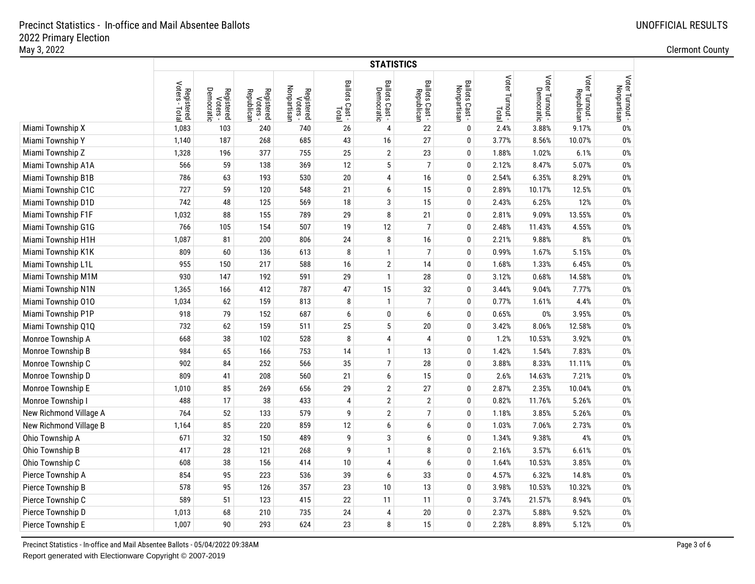|                        |                                         | <b>STATISTICS</b>                    |                                      |                                       |                         |                              |                              |                               |                          |                               |                               |                                |  |  |
|------------------------|-----------------------------------------|--------------------------------------|--------------------------------------|---------------------------------------|-------------------------|------------------------------|------------------------------|-------------------------------|--------------------------|-------------------------------|-------------------------------|--------------------------------|--|--|
|                        | Voters -<br>Registered<br>oters - Total | Democratic<br>Registered<br>Voters - | Registered<br>Voters -<br>Republican | Nonpartisan<br>Registered<br>Voters - | Ballots Cast -<br>Total | Ballots Cast -<br>Democratic | Ballots Cast -<br>Republican | Ballots Cast -<br>Nonpartisan | Voter Turnout -<br>Total | Voter Turnout -<br>Democratic | Voter Turnout -<br>Republican | Voter Turnout -<br>Nonpartisan |  |  |
| Miami Township X       | 1,083                                   | 103                                  | 240                                  | 740                                   | 26                      | 4                            | 22                           | 0                             | 2.4%                     | 3.88%                         | 9.17%                         | $0\%$                          |  |  |
| Miami Township Y       | 1,140                                   | 187                                  | 268                                  | 685                                   | 43                      | 16                           | 27                           | 0                             | 3.77%                    | 8.56%                         | 10.07%                        | 0%                             |  |  |
| Miami Township Z       | 1,328                                   | 196                                  | 377                                  | 755                                   | 25                      | $\overline{2}$               | 23                           | 0                             | 1.88%                    | 1.02%                         | 6.1%                          | $0\%$                          |  |  |
| Miami Township A1A     | 566                                     | 59                                   | 138                                  | 369                                   | 12                      | 5                            | $\overline{7}$               | 0                             | 2.12%                    | 8.47%                         | 5.07%                         | $0\%$                          |  |  |
| Miami Township B1B     | 786                                     | 63                                   | 193                                  | 530                                   | $20\,$                  | 4                            | 16                           | 0                             | 2.54%                    | 6.35%                         | 8.29%                         | $0\%$                          |  |  |
| Miami Township C1C     | 727                                     | 59                                   | 120                                  | 548                                   | 21                      | 6                            | 15                           | 0                             | 2.89%                    | 10.17%                        | 12.5%                         | $0\%$                          |  |  |
| Miami Township D1D     | 742                                     | 48                                   | 125                                  | 569                                   | 18                      | 3                            | 15                           | 0                             | 2.43%                    | 6.25%                         | 12%                           | $0\%$                          |  |  |
| Miami Township F1F     | 1,032                                   | 88                                   | 155                                  | 789                                   | 29                      | 8                            | 21                           | 0                             | 2.81%                    | 9.09%                         | 13.55%                        | $0\%$                          |  |  |
| Miami Township G1G     | 766                                     | 105                                  | 154                                  | 507                                   | 19                      | 12                           | $\overline{7}$               | 0                             | 2.48%                    | 11.43%                        | 4.55%                         | $0\%$                          |  |  |
| Miami Township H1H     | 1,087                                   | 81                                   | 200                                  | 806                                   | 24                      | 8                            | 16                           | 0                             | 2.21%                    | 9.88%                         | 8%                            | $0\%$                          |  |  |
| Miami Township K1K     | 809                                     | 60                                   | 136                                  | 613                                   | 8                       | $\mathbf{1}$                 | $\overline{7}$               | 0                             | 0.99%                    | 1.67%                         | 5.15%                         | 0%                             |  |  |
| Miami Township L1L     | 955                                     | 150                                  | 217                                  | 588                                   | 16                      | $\overline{2}$               | 14                           | 0                             | 1.68%                    | 1.33%                         | 6.45%                         | 0%                             |  |  |
| Miami Township M1M     | 930                                     | 147                                  | 192                                  | 591                                   | 29                      | $\mathbf{1}$                 | 28                           | 0                             | 3.12%                    | 0.68%                         | 14.58%                        | $0\%$                          |  |  |
| Miami Township N1N     | 1,365                                   | 166                                  | 412                                  | 787                                   | 47                      | 15                           | 32                           | 0                             | 3.44%                    | 9.04%                         | 7.77%                         | $0\%$                          |  |  |
| Miami Township 010     | 1,034                                   | 62                                   | 159                                  | 813                                   | 8                       | $\mathbf{1}$                 | $\overline{7}$               | 0                             | 0.77%                    | 1.61%                         | 4.4%                          | $0\%$                          |  |  |
| Miami Township P1P     | 918                                     | 79                                   | 152                                  | 687                                   | 6                       | 0                            | 6                            | 0                             | 0.65%                    | 0%                            | 3.95%                         | $0\%$                          |  |  |
| Miami Township Q1Q     | 732                                     | 62                                   | 159                                  | 511                                   | 25                      | 5                            | 20                           | 0                             | 3.42%                    | 8.06%                         | 12.58%                        | $0\%$                          |  |  |
| Monroe Township A      | 668                                     | $38\,$                               | 102                                  | 528                                   | 8                       | 4                            | 4                            | 0                             | 1.2%                     | 10.53%                        | 3.92%                         | $0\%$                          |  |  |
| Monroe Township B      | 984                                     | 65                                   | 166                                  | 753                                   | 14                      | $\mathbf{1}$                 | 13                           | 0                             | 1.42%                    | 1.54%                         | 7.83%                         | 0%                             |  |  |
| Monroe Township C      | 902                                     | 84                                   | 252                                  | 566                                   | 35                      | $\overline{7}$               | 28                           | 0                             | 3.88%                    | 8.33%                         | 11.11%                        | 0%                             |  |  |
| Monroe Township D      | 809                                     | 41                                   | 208                                  | 560                                   | 21                      | 6                            | 15                           | 0                             | 2.6%                     | 14.63%                        | 7.21%                         | 0%                             |  |  |
| Monroe Township E      | 1,010                                   | 85                                   | 269                                  | 656                                   | 29                      | $\overline{2}$               | 27                           | 0                             | 2.87%                    | 2.35%                         | 10.04%                        | $0\%$                          |  |  |
| Monroe Township I      | 488                                     | 17                                   | 38                                   | 433                                   | 4                       | $\overline{2}$               | $\overline{2}$               | 0                             | 0.82%                    | 11.76%                        | 5.26%                         | $0\%$                          |  |  |
| New Richmond Village A | 764                                     | 52                                   | 133                                  | 579                                   | 9                       | $\overline{2}$               | $\overline{7}$               | 0                             | 1.18%                    | 3.85%                         | 5.26%                         | 0%                             |  |  |
| New Richmond Village B | 1,164                                   | 85                                   | 220                                  | 859                                   | 12                      | 6                            | 6                            | 0                             | 1.03%                    | 7.06%                         | 2.73%                         | 0%                             |  |  |
| Ohio Township A        | 671                                     | 32                                   | 150                                  | 489                                   | 9                       | 3                            | 6                            | 0                             | 1.34%                    | 9.38%                         | 4%                            | 0%                             |  |  |
| Ohio Township B        | 417                                     | 28                                   | 121                                  | 268                                   | 9                       | $\mathbf{1}$                 | 8                            | 0                             | 2.16%                    | 3.57%                         | 6.61%                         | 0%                             |  |  |
| Ohio Township C        | 608                                     | 38                                   | 156                                  | 414                                   | 10                      | 4                            | 6                            | 0                             | 1.64%                    | 10.53%                        | 3.85%                         | 0%                             |  |  |
| Pierce Township A      | 854                                     | 95                                   | 223                                  | 536                                   | 39                      | 6                            | 33                           | 0                             | 4.57%                    | 6.32%                         | 14.8%                         | 0%                             |  |  |
| Pierce Township B      | 578                                     | 95                                   | 126                                  | 357                                   | 23                      | 10                           | 13                           | 0                             | 3.98%                    | 10.53%                        | 10.32%                        | 0%                             |  |  |
| Pierce Township C      | 589                                     | 51                                   | 123                                  | 415                                   | 22                      | 11                           | 11                           | 0                             | 3.74%                    | 21.57%                        | 8.94%                         | $0\%$                          |  |  |
| Pierce Township D      | 1,013                                   | 68                                   | 210                                  | 735                                   | 24                      | 4                            | $20\,$                       | 0                             | 2.37%                    | 5.88%                         | 9.52%                         | 0%                             |  |  |
| Pierce Township E      | 1,007                                   | 90                                   | 293                                  | 624                                   | 23                      | 8                            | 15                           | 0                             | 2.28%                    | 8.89%                         | 5.12%                         | 0%                             |  |  |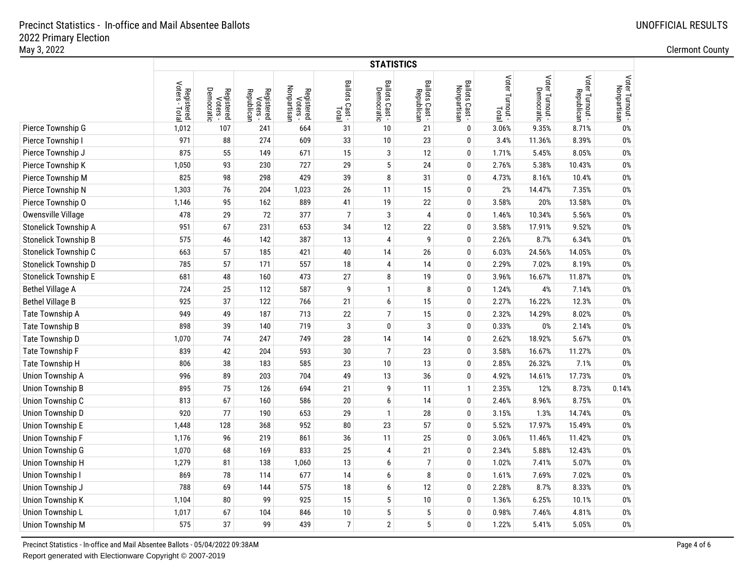|                             |                              | <b>STATISTICS</b>                    |                                      |                                       |                         |                              |                              |                               |                          |                                 |                               |                                |  |  |
|-----------------------------|------------------------------|--------------------------------------|--------------------------------------|---------------------------------------|-------------------------|------------------------------|------------------------------|-------------------------------|--------------------------|---------------------------------|-------------------------------|--------------------------------|--|--|
|                             | Registered<br>Voters - Total | Democratic<br>Registered<br>Voters - | Registered<br>Voters -<br>Republican | Nonpartisan<br>Registered<br>Voters - | Ballots Cast -<br>Total | Ballots Cast -<br>Democratic | Ballots Cast -<br>Republican | Ballots Cast -<br>Nonpartisan | Voter Turnout -<br>Total | Voter Turnout - ¦<br>Democratic | Voter Turnout -<br>Republican | Voter Turnout -<br>Nonpartisan |  |  |
| Pierce Township G           | 1,012                        | 107                                  | 241                                  | 664                                   | 31                      | 10                           | 21                           | 0                             | 3.06%                    | 9.35%                           | 8.71%                         | $0\%$                          |  |  |
| Pierce Township I           | 971                          | 88                                   | 274                                  | 609                                   | 33                      | 10                           | 23                           | 0                             | 3.4%                     | 11.36%                          | 8.39%                         | 0%                             |  |  |
| Pierce Township J           | 875                          | 55                                   | 149                                  | 671                                   | 15                      | 3                            | 12                           | 0                             | 1.71%                    | 5.45%                           | 8.05%                         | 0%                             |  |  |
| Pierce Township K           | 1,050                        | 93                                   | 230                                  | 727                                   | 29                      | 5                            | 24                           | 0                             | 2.76%                    | 5.38%                           | 10.43%                        | 0%                             |  |  |
| Pierce Township M           | 825                          | 98                                   | 298                                  | 429                                   | 39                      | 8                            | 31                           | 0                             | 4.73%                    | 8.16%                           | 10.4%                         | 0%                             |  |  |
| Pierce Township N           | 1,303                        | 76                                   | 204                                  | 1,023                                 | 26                      | 11                           | 15                           | 0                             | 2%                       | 14.47%                          | 7.35%                         | $0\%$                          |  |  |
| Pierce Township O           | 1,146                        | 95                                   | 162                                  | 889                                   | 41                      | 19                           | 22                           | 0                             | 3.58%                    | 20%                             | 13.58%                        | $0\%$                          |  |  |
| Owensville Village          | 478                          | 29                                   | 72                                   | 377                                   | $\boldsymbol{7}$        | 3                            | 4                            | 0                             | 1.46%                    | 10.34%                          | 5.56%                         | 0%                             |  |  |
| Stonelick Township A        | 951                          | 67                                   | 231                                  | 653                                   | 34                      | 12                           | 22                           | 0                             | 3.58%                    | 17.91%                          | 9.52%                         | 0%                             |  |  |
| <b>Stonelick Township B</b> | 575                          | 46                                   | 142                                  | 387                                   | 13                      | 4                            | 9                            | 0                             | 2.26%                    | 8.7%                            | 6.34%                         | 0%                             |  |  |
| Stonelick Township C        | 663                          | 57                                   | 185                                  | 421                                   | $40\,$                  | 14                           | 26                           | 0                             | 6.03%                    | 24.56%                          | 14.05%                        | 0%                             |  |  |
| Stonelick Township D        | 785                          | 57                                   | 171                                  | 557                                   | 18                      | 4                            | 14                           | 0                             | 2.29%                    | 7.02%                           | 8.19%                         | 0%                             |  |  |
| <b>Stonelick Township E</b> | 681                          | 48                                   | 160                                  | 473                                   | 27                      | 8                            | 19                           | 0                             | 3.96%                    | 16.67%                          | 11.87%                        | 0%                             |  |  |
| <b>Bethel Village A</b>     | 724                          | 25                                   | 112                                  | 587                                   | 9                       | $\mathbf{1}$                 | 8                            | 0                             | 1.24%                    | $4\%$                           | 7.14%                         | $0\%$                          |  |  |
| <b>Bethel Village B</b>     | 925                          | 37                                   | 122                                  | 766                                   | 21                      | 6                            | 15                           | 0                             | 2.27%                    | 16.22%                          | 12.3%                         | $0\%$                          |  |  |
| Tate Township A             | 949                          | 49                                   | 187                                  | 713                                   | 22                      | $\overline{7}$               | 15                           | 0                             | 2.32%                    | 14.29%                          | 8.02%                         | $0\%$                          |  |  |
| Tate Township B             | 898                          | 39                                   | 140                                  | 719                                   | 3                       | $\mathbf 0$                  | $\mathsf 3$                  | 0                             | 0.33%                    | $0\%$                           | 2.14%                         | $0\%$                          |  |  |
| Tate Township D             | 1,070                        | 74                                   | 247                                  | 749                                   | 28                      | 14                           | 14                           | 0                             | 2.62%                    | 18.92%                          | 5.67%                         | 0%                             |  |  |
| Tate Township F             | 839                          | 42                                   | 204                                  | 593                                   | 30                      | $\overline{7}$               | 23                           | 0                             | 3.58%                    | 16.67%                          | 11.27%                        | 0%                             |  |  |
| Tate Township H             | 806                          | 38                                   | 183                                  | 585                                   | 23                      | 10                           | 13                           | 0                             | 2.85%                    | 26.32%                          | 7.1%                          | 0%                             |  |  |
| Union Township A            | 996                          | 89                                   | 203                                  | 704                                   | 49                      | 13                           | 36                           | 0                             | 4.92%                    | 14.61%                          | 17.73%                        | $0\%$                          |  |  |
| <b>Union Township B</b>     | 895                          | 75                                   | 126                                  | 694                                   | 21                      | 9                            | 11                           | 1                             | 2.35%                    | 12%                             | 8.73%                         | 0.14%                          |  |  |
| Union Township C            | 813                          | 67                                   | 160                                  | 586                                   | $20\,$                  | 6                            | 14                           | 0                             | 2.46%                    | 8.96%                           | 8.75%                         | $0\%$                          |  |  |
| Union Township D            | 920                          | 77                                   | 190                                  | 653                                   | 29                      | $\mathbf{1}$                 | 28                           | 0                             | 3.15%                    | 1.3%                            | 14.74%                        | 0%                             |  |  |
| <b>Union Township E</b>     | 1,448                        | 128                                  | 368                                  | 952                                   | 80                      | 23                           | 57                           | 0                             | 5.52%                    | 17.97%                          | 15.49%                        | 0%                             |  |  |
| <b>Union Township F</b>     | 1,176                        | 96                                   | 219                                  | 861                                   | 36                      | 11                           | 25                           | 0                             | 3.06%                    | 11.46%                          | 11.42%                        | 0%                             |  |  |
| <b>Union Township G</b>     | 1,070                        | 68                                   | 169                                  | 833                                   | 25                      | 4                            | 21                           | 0                             | 2.34%                    | 5.88%                           | 12.43%                        | 0%                             |  |  |
| Union Township H            | 1,279                        | 81                                   | 138                                  | 1,060                                 | 13                      | 6                            | $\boldsymbol{7}$             | 0                             | 1.02%                    | 7.41%                           | 5.07%                         | 0%                             |  |  |
| <b>Union Township I</b>     | 869                          | 78                                   | 114                                  | 677                                   | 14                      | 6                            | 8                            | 0                             | 1.61%                    | 7.69%                           | 7.02%                         | 0%                             |  |  |
| Union Township J            | 788                          | 69                                   | 144                                  | 575                                   | 18                      | 6                            | 12                           | 0                             | 2.28%                    | 8.7%                            | 8.33%                         | $0\%$                          |  |  |
| <b>Union Township K</b>     | 1,104                        | 80                                   | 99                                   | 925                                   | 15                      | 5                            | $10$                         | 0                             | 1.36%                    | 6.25%                           | 10.1%                         | 0%                             |  |  |
| Union Township L            | 1,017                        | 67                                   | 104                                  | 846                                   | 10                      | 5                            | 5                            | 0                             | 0.98%                    | 7.46%                           | 4.81%                         | 0%                             |  |  |
| <b>Union Township M</b>     | 575                          | 37                                   | 99                                   | 439                                   | $\overline{7}$          | $\overline{2}$               | 5                            | $\mathbf{0}$                  | 1.22%                    | 5.41%                           | 5.05%                         | $0\%$                          |  |  |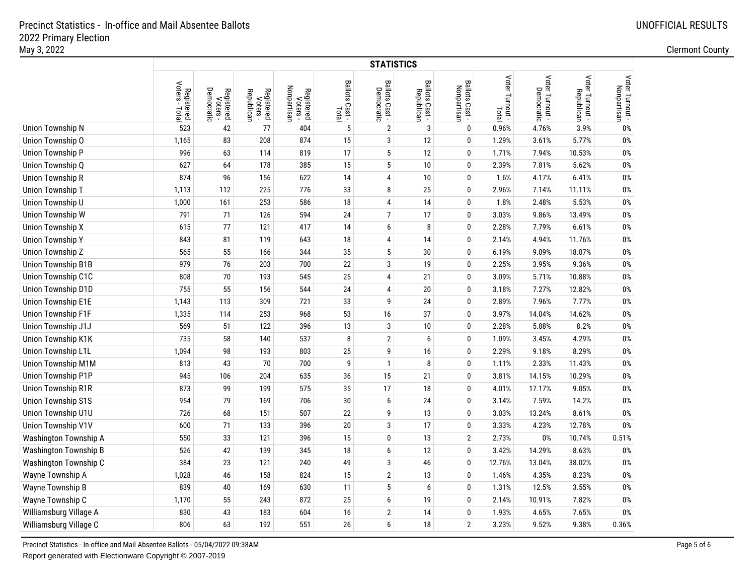|                              |                                         | <b>STATISTICS</b>                    |                                      |                                       |                         |                              |                              |                               |                         |                               |                               |                                |  |  |
|------------------------------|-----------------------------------------|--------------------------------------|--------------------------------------|---------------------------------------|-------------------------|------------------------------|------------------------------|-------------------------------|-------------------------|-------------------------------|-------------------------------|--------------------------------|--|--|
|                              | Voters -<br>Registered<br>oters - Total | Democratic<br>Registered<br>Voters - | Registered<br>Voters -<br>Republican | Nonpartisar<br>Registered<br>Voters - | Ballots Cast -<br>Total | Ballots Cast -<br>Democratic | Ballots Cast -<br>Republican | Ballots Cast -<br>Nonpartisan | Voter Turnout<br>liatal | Voter Turnout -<br>Democratic | Voter Turnout -<br>Republican | Voter Turnout -<br>Nonpartisan |  |  |
| Union Township N             | 523                                     | 42                                   | 77                                   | 404                                   | $\sqrt{5}$              | $\overline{2}$               | 3                            | $\pmb{0}$                     | 0.96%                   | 4.76%                         | 3.9%                          | $0\%$                          |  |  |
| Union Township O             | 1,165                                   | 83                                   | 208                                  | 874                                   | 15                      | 3                            | 12                           | 0                             | 1.29%                   | 3.61%                         | 5.77%                         | $0\%$                          |  |  |
| Union Township P             | 996                                     | 63                                   | 114                                  | 819                                   | 17                      | 5                            | 12                           | 0                             | 1.71%                   | 7.94%                         | 10.53%                        | $0\%$                          |  |  |
| Union Township Q             | 627                                     | 64                                   | 178                                  | 385                                   | 15                      | 5                            | 10                           | 0                             | 2.39%                   | 7.81%                         | 5.62%                         | $0\%$                          |  |  |
| <b>Union Township R</b>      | 874                                     | 96                                   | 156                                  | 622                                   | 14                      | 4                            | 10                           | $\pmb{0}$                     | 1.6%                    | 4.17%                         | 6.41%                         | $0\%$                          |  |  |
| <b>Union Township T</b>      | 1,113                                   | 112                                  | 225                                  | 776                                   | 33                      | 8                            | 25                           | 0                             | 2.96%                   | 7.14%                         | 11.11%                        | 0%                             |  |  |
| Union Township U             | 1,000                                   | 161                                  | 253                                  | 586                                   | 18                      | 4                            | 14                           | 0                             | 1.8%                    | 2.48%                         | 5.53%                         | 0%                             |  |  |
| <b>Union Township W</b>      | 791                                     | 71                                   | 126                                  | 594                                   | 24                      | $\overline{7}$               | 17                           | 0                             | 3.03%                   | 9.86%                         | 13.49%                        | 0%                             |  |  |
| <b>Union Township X</b>      | 615                                     | 77                                   | 121                                  | 417                                   | 14                      | 6                            | 8                            | 0                             | 2.28%                   | 7.79%                         | 6.61%                         | 0%                             |  |  |
| <b>Union Township Y</b>      | 843                                     | 81                                   | 119                                  | 643                                   | 18                      | 4                            | 14                           | 0                             | 2.14%                   | 4.94%                         | 11.76%                        | 0%                             |  |  |
| Union Township Z             | 565                                     | 55                                   | 166                                  | 344                                   | 35                      | 5                            | 30                           | 0                             | 6.19%                   | 9.09%                         | 18.07%                        | 0%                             |  |  |
| <b>Union Township B1B</b>    | 979                                     | $76\,$                               | 203                                  | 700                                   | 22                      | 3                            | 19                           | 0                             | 2.25%                   | 3.95%                         | 9.36%                         | 0%                             |  |  |
| Union Township C1C           | 808                                     | $70\,$                               | 193                                  | 545                                   | 25                      | 4                            | 21                           | 0                             | 3.09%                   | 5.71%                         | 10.88%                        | $0\%$                          |  |  |
| Union Township D1D           | 755                                     | 55                                   | 156                                  | 544                                   | 24                      | 4                            | 20                           | 0                             | 3.18%                   | 7.27%                         | 12.82%                        | $0\%$                          |  |  |
| Union Township E1E           | 1,143                                   | 113                                  | 309                                  | 721                                   | 33                      | 9                            | 24                           | 0                             | 2.89%                   | 7.96%                         | 7.77%                         | $0\%$                          |  |  |
| <b>Union Township F1F</b>    | 1,335                                   | 114                                  | 253                                  | 968                                   | 53                      | 16                           | 37                           | 0                             | 3.97%                   | 14.04%                        | 14.62%                        | $0\%$                          |  |  |
| Union Township J1J           | 569                                     | 51                                   | 122                                  | 396                                   | 13                      | 3                            | 10                           | 0                             | 2.28%                   | 5.88%                         | 8.2%                          | 0%                             |  |  |
| Union Township K1K           | 735                                     | 58                                   | 140                                  | 537                                   | 8                       | $\sqrt{2}$                   | 6                            | $\mathbf{0}$                  | 1.09%                   | 3.45%                         | 4.29%                         | 0%                             |  |  |
| <b>Union Township L1L</b>    | 1,094                                   | 98                                   | 193                                  | 803                                   | 25                      | 9                            | 16                           | 0                             | 2.29%                   | 9.18%                         | 8.29%                         | $0\%$                          |  |  |
| <b>Union Township M1M</b>    | 813                                     | 43                                   | 70                                   | 700                                   | 9                       | 1                            | 8                            | 0                             | 1.11%                   | 2.33%                         | 11.43%                        | 0%                             |  |  |
| Union Township P1P           | 945                                     | 106                                  | 204                                  | 635                                   | 36                      | 15                           | 21                           | 0                             | 3.81%                   | 14.15%                        | 10.29%                        | 0%                             |  |  |
| <b>Union Township R1R</b>    | 873                                     | 99                                   | 199                                  | 575                                   | 35                      | 17                           | 18                           | 0                             | 4.01%                   | 17.17%                        | 9.05%                         | 0%                             |  |  |
| <b>Union Township S1S</b>    | 954                                     | 79                                   | 169                                  | 706                                   | 30                      | 6                            | 24                           | 0                             | 3.14%                   | 7.59%                         | 14.2%                         | 0%                             |  |  |
| Union Township U1U           | 726                                     | 68                                   | 151                                  | 507                                   | 22                      | 9                            | 13                           | 0                             | 3.03%                   | 13.24%                        | 8.61%                         | 0%                             |  |  |
| Union Township V1V           | 600                                     | 71                                   | 133                                  | 396                                   | $20\,$                  | 3                            | 17                           | $\pmb{0}$                     | 3.33%                   | 4.23%                         | 12.78%                        | 0%                             |  |  |
| <b>Washington Township A</b> | 550                                     | 33                                   | 121                                  | 396                                   | 15                      | $\mathbf{0}$                 | 13                           | $\overline{2}$                | 2.73%                   | 0%                            | 10.74%                        | 0.51%                          |  |  |
| <b>Washington Township B</b> | 526                                     | 42                                   | 139                                  | 345                                   | 18                      | 6                            | 12                           | $\mathbf 0$                   | 3.42%                   | 14.29%                        | 8.63%                         | 0%                             |  |  |
| Washington Township C        | 384                                     | 23                                   | 121                                  | 240                                   | 49                      | 3                            | 46                           | 0                             | 12.76%                  | 13.04%                        | 38.02%                        | 0%                             |  |  |
| Wayne Township A             | 1,028                                   | 46                                   | 158                                  | 824                                   | 15                      | 2                            | 13                           | 0                             | 1.46%                   | 4.35%                         | 8.23%                         | 0%                             |  |  |
| Wayne Township B             | 839                                     | 40                                   | 169                                  | 630                                   | 11                      | 5                            | 6                            | 0                             | 1.31%                   | 12.5%                         | 3.55%                         | 0%                             |  |  |
| Wayne Township C             | 1,170                                   | 55                                   | 243                                  | 872                                   | 25                      | 6                            | 19                           | 0                             | 2.14%                   | 10.91%                        | 7.82%                         | 0%                             |  |  |
| Williamsburg Village A       | 830                                     | 43                                   | 183                                  | 604                                   | 16                      | 2                            | 14                           | 0                             | 1.93%                   | 4.65%                         | 7.65%                         | 0%                             |  |  |
| Williamsburg Village C       | 806                                     | 63                                   | 192                                  | 551                                   | 26                      | 6                            | 18                           | $\overline{2}$                | 3.23%                   | 9.52%                         | 9.38%                         | 0.36%                          |  |  |